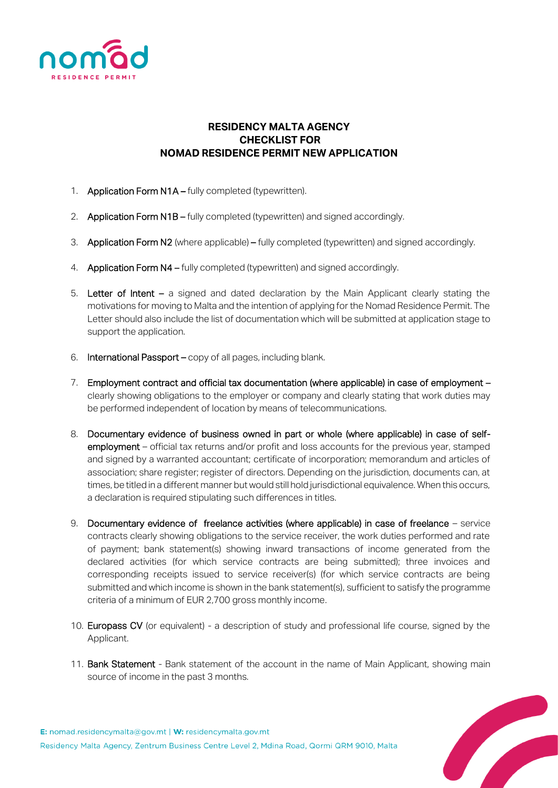

## **RESIDENCY MALTA AGENCY CHECKLIST FOR NOMAD RESIDENCE PERMIT NEW APPLICATION**

- 1. **Application Form N1A fully completed (typewritten).**
- 2. Application Form N1B fully completed (typewritten) and signed accordingly.
- 3. Application Form N2 (where applicable) fully completed (typewritten) and signed accordingly.
- 4. Application Form N4 fully completed (typewritten) and signed accordingly.
- 5. Letter of Intent a signed and dated declaration by the Main Applicant clearly stating the motivations for moving to Malta and the intention of applying for the Nomad Residence Permit. The Letter should also include the list of documentation which will be submitted at application stage to support the application.
- 6. International Passport copy of all pages, including blank.
- 7. Employment contract and official tax documentation (where applicable) in case of employment clearly showing obligations to the employer or company and clearly stating that work duties may be performed independent of location by means of telecommunications.
- 8. Documentary evidence of business owned in part or whole (where applicable) in case of selfemployment – official tax returns and/or profit and loss accounts for the previous year, stamped and signed by a warranted accountant; certificate of incorporation; memorandum and articles of association; share register; register of directors. Depending on the jurisdiction, documents can, at times, be titled in a different manner but would still hold jurisdictional equivalence. When this occurs, a declaration is required stipulating such differences in titles.
- 9. Documentary evidence of freelance activities (where applicable) in case of freelance service contracts clearly showing obligations to the service receiver, the work duties performed and rate of payment; bank statement(s) showing inward transactions of income generated from the declared activities (for which service contracts are being submitted); three invoices and corresponding receipts issued to service receiver(s) (for which service contracts are being submitted and which income is shown in the bank statement(s), sufficient to satisfy the programme criteria of a minimum of EUR 2,700 gross monthly income.
- 10. Europass CV (or equivalent) a description of study and professional life course, signed by the Applicant.
- 11. Bank Statement Bank statement of the account in the name of Main Applicant, showing main source of income in the past 3 months.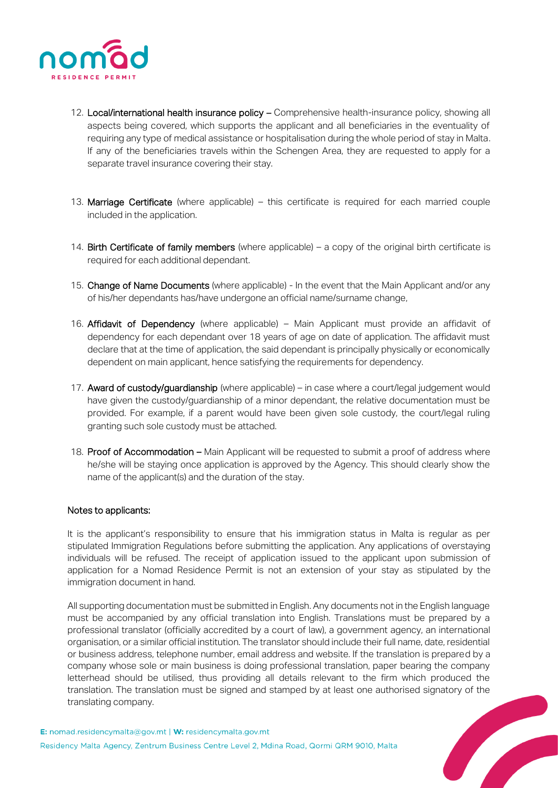

- 12. Local/international health insurance policy Comprehensive health-insurance policy, showing all aspects being covered, which supports the applicant and all beneficiaries in the eventuality of requiring any type of medical assistance or hospitalisation during the whole period of stay in Malta. If any of the beneficiaries travels within the Schengen Area, they are requested to apply for a separate travel insurance covering their stay.
- 13. Marriage Certificate (where applicable) this certificate is required for each married couple included in the application.
- 14. Birth Certificate of family members (where applicable) a copy of the original birth certificate is required for each additional dependant.
- 15. Change of Name Documents (where applicable) In the event that the Main Applicant and/or any of his/her dependants has/have undergone an official name/surname change,
- 16. Affidavit of Dependency (where applicable) Main Applicant must provide an affidavit of dependency for each dependant over 18 years of age on date of application. The affidavit must declare that at the time of application, the said dependant is principally physically or economically dependent on main applicant, hence satisfying the requirements for dependency.
- 17. Award of custody/guardianship (where applicable) in case where a court/legal judgement would have given the custody/guardianship of a minor dependant, the relative documentation must be provided. For example, if a parent would have been given sole custody, the court/legal ruling granting such sole custody must be attached.
- 18. Proof of Accommodation Main Applicant will be requested to submit a proof of address where he/she will be staying once application is approved by the Agency. This should clearly show the name of the applicant(s) and the duration of the stay.

## Notes to applicants:

It is the applicant's responsibility to ensure that his immigration status in Malta is regular as per stipulated Immigration Regulations before submitting the application. Any applications of overstaying individuals will be refused. The receipt of application issued to the applicant upon submission of application for a Nomad Residence Permit is not an extension of your stay as stipulated by the immigration document in hand.

All supporting documentation must be submitted in English. Any documents not in the English language must be accompanied by any official translation into English. Translations must be prepared by a professional translator (officially accredited by a court of law), a government agency, an international organisation, or a similar official institution. The translator should include their full name, date, residential or business address, telephone number, email address and website. If the translation is prepared by a company whose sole or main business is doing professional translation, paper bearing the company letterhead should be utilised, thus providing all details relevant to the firm which produced the translation. The translation must be signed and stamped by at least one authorised signatory of the translating company.<br>
ad.residencymalta@gov.mt | **W:** residencymalta.gov.mt<br>
ncy Malta Agency, Zentrum Business Centre Lev translating company.